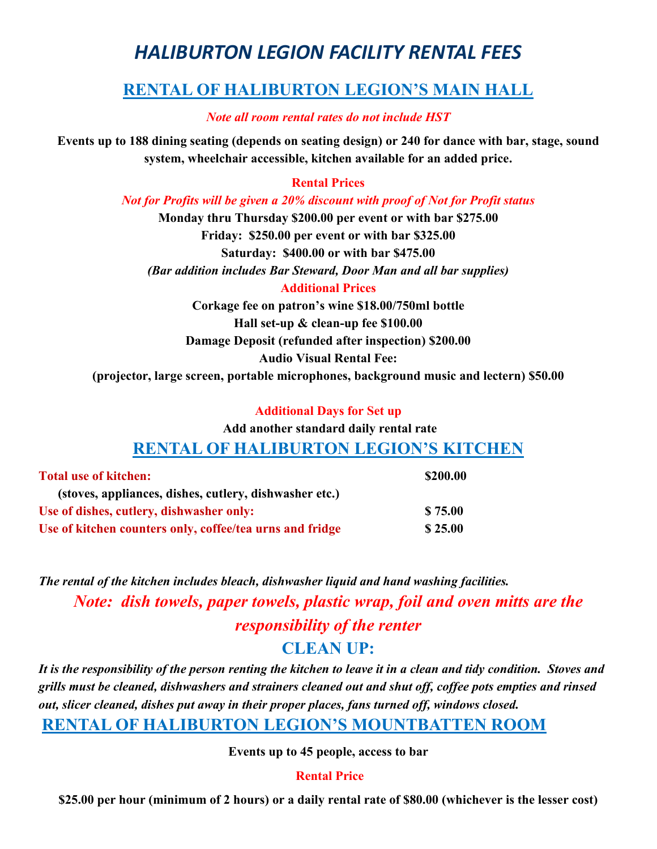# *HALIBURTON LEGION FACILITY RENTAL FEES*

### **RENTAL OF HALIBURTON LEGION'S MAIN HALL**

*Note all room rental rates do not include HST*

**Events up to 188 dining seating (depends on seating design) or 240 for dance with bar, stage, sound system, wheelchair accessible, kitchen available for an added price.**

#### **Rental Prices**

*Not for Profits will be given a 20% discount with proof of Not for Profit status*

**Monday thru Thursday \$200.00 per event or with bar \$275.00 Friday: \$250.00 per event or with bar \$325.00 Saturday: \$400.00 or with bar \$475.00** *(Bar addition includes Bar Steward, Door Man and all bar supplies)* **Additional Prices**

**Corkage fee on patron's wine \$18.00/750ml bottle Hall set-up & clean-up fee \$100.00 Damage Deposit (refunded after inspection) \$200.00 Audio Visual Rental Fee: (projector, large screen, portable microphones, background music and lectern) \$50.00**

#### **Additional Days for Set up**

**Add another standard daily rental rate** 

### **RENTAL OF HALIBURTON LEGION'S KITCHEN**

| <b>Total use of kitchen:</b>                             | \$200.00 |
|----------------------------------------------------------|----------|
| (stoves, appliances, dishes, cutlery, dishwasher etc.)   |          |
| Use of dishes, cutlery, dishwasher only:                 | \$75.00  |
| Use of kitchen counters only, coffee/tea urns and fridge | \$25.00  |

*The rental of the kitchen includes bleach, dishwasher liquid and hand washing facilities. Note: dish towels, paper towels, plastic wrap, foil and oven mitts are the responsibility of the renter*

### **CLEAN UP:**

*It is the responsibility of the person renting the kitchen to leave it in a clean and tidy condition. Stoves and grills must be cleaned, dishwashers and strainers cleaned out and shut off, coffee pots empties and rinsed out, slicer cleaned, dishes put away in their proper places, fans turned off, windows closed.*

### **RENTAL OF HALIBURTON LEGION'S MOUNTBATTEN ROOM**

**Events up to 45 people, access to bar**

#### **Rental Price**

**\$25.00 per hour (minimum of 2 hours) or a daily rental rate of \$80.00 (whichever is the lesser cost)**